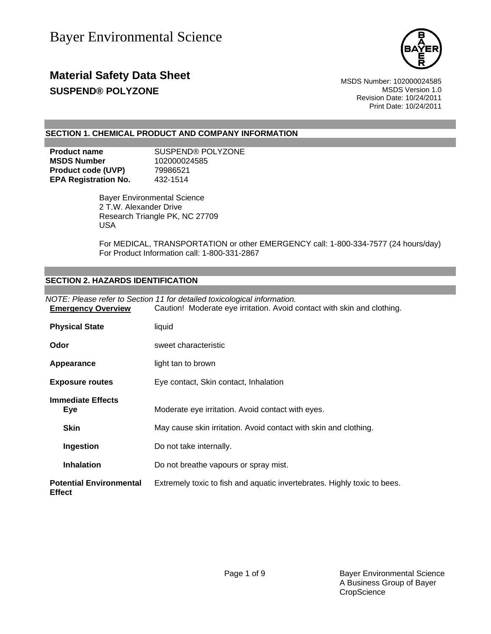

### **Material Safety Data Sheet** MSDS Number: 102000024585 **SUSPEND® POLYZONE MSDS** Version 1.0

Revision Date: 10/24/2011 Print Date: 10/24/2011

#### **SECTION 1. CHEMICAL PRODUCT AND COMPANY INFORMATION**

| <b>Product name</b>         | SUSPEND® POLYZONE |
|-----------------------------|-------------------|
| <b>MSDS Number</b>          | 102000024585      |
| <b>Product code (UVP)</b>   | 79986521          |
| <b>EPA Registration No.</b> | 432-1514          |

 Bayer Environmental Science 2 T.W. Alexander Drive Research Triangle PK, NC 27709 USA

For MEDICAL, TRANSPORTATION or other EMERGENCY call: 1-800-334-7577 (24 hours/day) For Product Information call: 1-800-331-2867

#### **SECTION 2. HAZARDS IDENTIFICATION**

| NOTE: Please refer to Section 11 for detailed toxicological information.<br>Caution! Moderate eye irritation. Avoid contact with skin and clothing.<br><b>Emergency Overview</b> |                                                                          |  |
|----------------------------------------------------------------------------------------------------------------------------------------------------------------------------------|--------------------------------------------------------------------------|--|
|                                                                                                                                                                                  |                                                                          |  |
| <b>Physical State</b>                                                                                                                                                            | liquid                                                                   |  |
| Odor                                                                                                                                                                             | sweet characteristic                                                     |  |
| Appearance                                                                                                                                                                       | light tan to brown                                                       |  |
| <b>Exposure routes</b>                                                                                                                                                           | Eye contact, Skin contact, Inhalation                                    |  |
| <b>Immediate Effects</b><br><b>Eye</b>                                                                                                                                           | Moderate eye irritation. Avoid contact with eyes.                        |  |
| <b>Skin</b>                                                                                                                                                                      | May cause skin irritation. Avoid contact with skin and clothing.         |  |
| Ingestion                                                                                                                                                                        | Do not take internally.                                                  |  |
| <b>Inhalation</b>                                                                                                                                                                | Do not breathe vapours or spray mist.                                    |  |
| <b>Potential Environmental</b><br><b>Effect</b>                                                                                                                                  | Extremely toxic to fish and aquatic invertebrates. Highly toxic to bees. |  |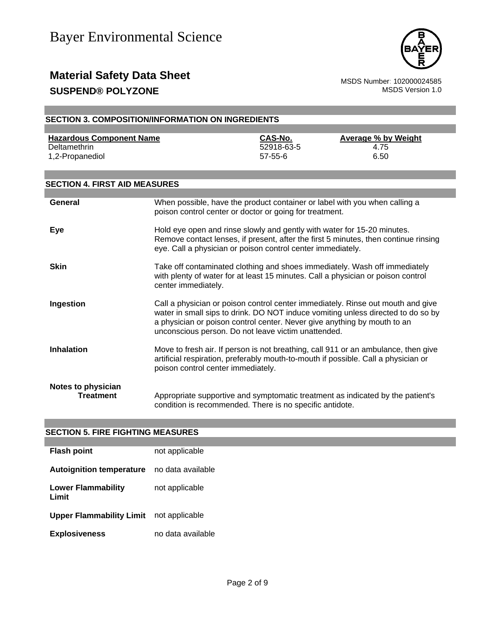

### **Material Safety Data Sheet**<br>
SUSPEND® POLYZONE MSDS Number: 102000024585 **SUSPEND® POLYZONE**

|                                                                    | <b>SECTION 3. COMPOSITION/INFORMATION ON INGREDIENTS</b>                                                                               |                                        |                                                                                                                                                                          |
|--------------------------------------------------------------------|----------------------------------------------------------------------------------------------------------------------------------------|----------------------------------------|--------------------------------------------------------------------------------------------------------------------------------------------------------------------------|
|                                                                    |                                                                                                                                        |                                        |                                                                                                                                                                          |
| <b>Hazardous Component Name</b><br>Deltamethrin<br>1,2-Propanediol |                                                                                                                                        | CAS-No.<br>52918-63-5<br>$57 - 55 - 6$ | <b>Average % by Weight</b><br>4.75<br>6.50                                                                                                                               |
| <b>SECTION 4. FIRST AID MEASURES</b>                               |                                                                                                                                        |                                        |                                                                                                                                                                          |
|                                                                    |                                                                                                                                        |                                        |                                                                                                                                                                          |
| General                                                            | When possible, have the product container or label with you when calling a<br>poison control center or doctor or going for treatment.  |                                        |                                                                                                                                                                          |
| <b>Eye</b>                                                         | Hold eye open and rinse slowly and gently with water for 15-20 minutes.<br>eye. Call a physician or poison control center immediately. |                                        | Remove contact lenses, if present, after the first 5 minutes, then continue rinsing                                                                                      |
| <b>Skin</b>                                                        | center immediately.                                                                                                                    |                                        | Take off contaminated clothing and shoes immediately. Wash off immediately<br>with plenty of water for at least 15 minutes. Call a physician or poison control           |
| Ingestion                                                          | a physician or poison control center. Never give anything by mouth to an<br>unconscious person. Do not leave victim unattended.        |                                        | Call a physician or poison control center immediately. Rinse out mouth and give<br>water in small sips to drink. DO NOT induce vomiting unless directed to do so by      |
| <b>Inhalation</b>                                                  | poison control center immediately.                                                                                                     |                                        | Move to fresh air. If person is not breathing, call 911 or an ambulance, then give<br>artificial respiration, preferably mouth-to-mouth if possible. Call a physician or |
| Notes to physician<br><b>Treatment</b>                             | condition is recommended. There is no specific antidote.                                                                               |                                        | Appropriate supportive and symptomatic treatment as indicated by the patient's                                                                                           |

#### **SECTION 5. FIRE FIGHTING MEASURES**

| <b>Flash point</b>                 | not applicable    |
|------------------------------------|-------------------|
| <b>Autoignition temperature</b>    | no data available |
| <b>Lower Flammability</b><br>Limit | not applicable    |
| <b>Upper Flammability Limit</b>    | not applicable    |
| <b>Explosiveness</b>               | no data available |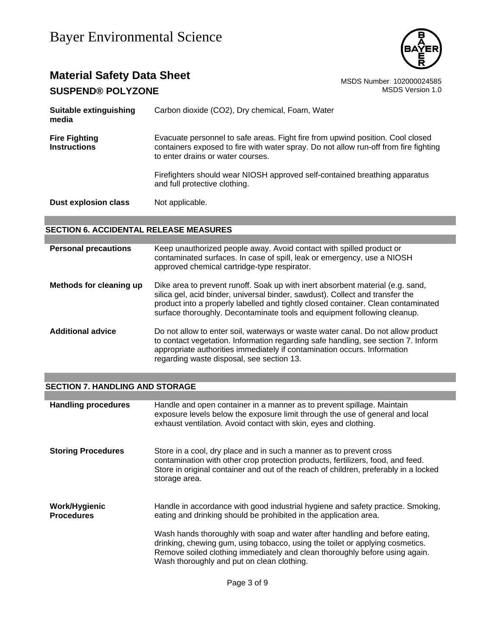

# **Material Safety Data Sheet** Material Safety Data Sheet<br>
SUSPEND® POLYZONE

**SUSPEND® POLYZONE** 

| Suitable extinguishing<br>media             | Carbon dioxide (CO2), Dry chemical, Foam, Water                                                                                                                                                             |
|---------------------------------------------|-------------------------------------------------------------------------------------------------------------------------------------------------------------------------------------------------------------|
| <b>Fire Fighting</b><br><b>Instructions</b> | Evacuate personnel to safe areas. Fight fire from upwind position. Cool closed<br>containers exposed to fire with water spray. Do not allow run-off from fire fighting<br>to enter drains or water courses. |
|                                             | Firefighters should wear NIOSH approved self-contained breathing apparatus<br>and full protective clothing.                                                                                                 |
| Dust explosion class                        | Not applicable.                                                                                                                                                                                             |

### **SECTION 6. ACCIDENTAL RELEASE MEASURES**

| <b>Personal precautions</b> | Keep unauthorized people away. Avoid contact with spilled product or<br>contaminated surfaces. In case of spill, leak or emergency, use a NIOSH<br>approved chemical cartridge-type respirator.                                                                                                                                  |
|-----------------------------|----------------------------------------------------------------------------------------------------------------------------------------------------------------------------------------------------------------------------------------------------------------------------------------------------------------------------------|
| Methods for cleaning up     | Dike area to prevent runoff. Soak up with inert absorbent material (e.g. sand,<br>silica gel, acid binder, universal binder, sawdust). Collect and transfer the<br>product into a properly labelled and tightly closed container. Clean contaminated<br>surface thoroughly. Decontaminate tools and equipment following cleanup. |
| <b>Additional advice</b>    | Do not allow to enter soil, waterways or waste water canal. Do not allow product<br>to contact vegetation. Information regarding safe handling, see section 7. Inform<br>appropriate authorities immediately if contamination occurs. Information<br>regarding waste disposal, see section 13.                                   |

#### **SECTION 7. HANDLING AND STORAGE**

| <b>Handling procedures</b>         | Handle and open container in a manner as to prevent spillage. Maintain<br>exposure levels below the exposure limit through the use of general and local<br>exhaust ventilation. Avoid contact with skin, eyes and clothing.                                                               |
|------------------------------------|-------------------------------------------------------------------------------------------------------------------------------------------------------------------------------------------------------------------------------------------------------------------------------------------|
| <b>Storing Procedures</b>          | Store in a cool, dry place and in such a manner as to prevent cross<br>contamination with other crop protection products, fertilizers, food, and feed.<br>Store in original container and out of the reach of children, preferably in a locked<br>storage area.                           |
| Work/Hygienic<br><b>Procedures</b> | Handle in accordance with good industrial hygiene and safety practice. Smoking,<br>eating and drinking should be prohibited in the application area.                                                                                                                                      |
|                                    | Wash hands thoroughly with soap and water after handling and before eating,<br>drinking, chewing gum, using tobacco, using the toilet or applying cosmetics.<br>Remove soiled clothing immediately and clean thoroughly before using again.<br>Wash thoroughly and put on clean clothing. |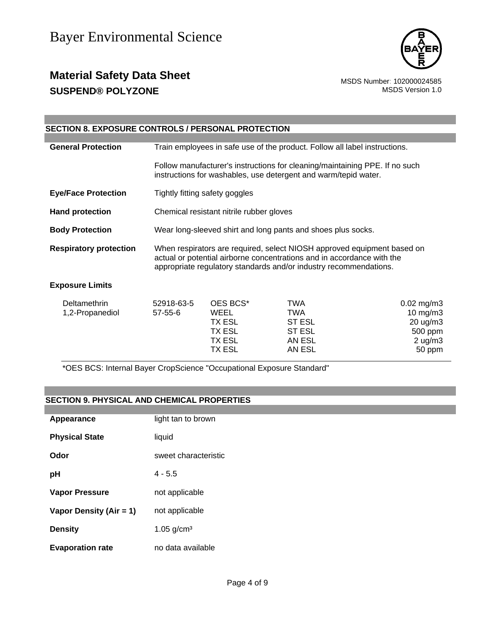

### **Material Safety Data Sheet** Material Safety Data Sheet<br>
SUSPEND® POLYZONE **SUSPEND® POLYZONE**

| <b>SECTION 8. EXPOSURE CONTROLS / PERSONAL PROTECTION</b> |                                                                                                                                                                                                                        |                                                          |                                                                                                                                                |                                                                                |
|-----------------------------------------------------------|------------------------------------------------------------------------------------------------------------------------------------------------------------------------------------------------------------------------|----------------------------------------------------------|------------------------------------------------------------------------------------------------------------------------------------------------|--------------------------------------------------------------------------------|
|                                                           |                                                                                                                                                                                                                        |                                                          |                                                                                                                                                |                                                                                |
| <b>General Protection</b>                                 | Train employees in safe use of the product. Follow all label instructions.                                                                                                                                             |                                                          |                                                                                                                                                |                                                                                |
|                                                           |                                                                                                                                                                                                                        |                                                          | Follow manufacturer's instructions for cleaning/maintaining PPE. If no such<br>instructions for washables, use detergent and warm/tepid water. |                                                                                |
| <b>Eye/Face Protection</b>                                | Tightly fitting safety goggles                                                                                                                                                                                         |                                                          |                                                                                                                                                |                                                                                |
| <b>Hand protection</b>                                    |                                                                                                                                                                                                                        | Chemical resistant nitrile rubber gloves                 |                                                                                                                                                |                                                                                |
| <b>Body Protection</b>                                    | Wear long-sleeved shirt and long pants and shoes plus socks.                                                                                                                                                           |                                                          |                                                                                                                                                |                                                                                |
| <b>Respiratory protection</b>                             | When respirators are required, select NIOSH approved equipment based on<br>actual or potential airborne concentrations and in accordance with the<br>appropriate regulatory standards and/or industry recommendations. |                                                          |                                                                                                                                                |                                                                                |
| <b>Exposure Limits</b>                                    |                                                                                                                                                                                                                        |                                                          |                                                                                                                                                |                                                                                |
| <b>Deltamethrin</b><br>1,2-Propanediol                    | 52918-63-5<br>$57 - 55 - 6$                                                                                                                                                                                            | OES BCS*<br>WEEL<br>TX ESL<br>TX ESL<br>TX ESL<br>TX ESL | <b>TWA</b><br><b>TWA</b><br><b>ST ESL</b><br><b>ST ESL</b><br>AN ESL<br>AN ESL                                                                 | $0.02$ mg/m3<br>$10$ mg/m $3$<br>20 ug/m3<br>500 ppm<br>$2$ ug/m $3$<br>50 ppm |

\*OES BCS: Internal Bayer CropScience "Occupational Exposure Standard"

#### **SECTION 9. PHYSICAL AND CHEMICAL PROPERTIES**

| Appearance              | light tan to brown       |
|-------------------------|--------------------------|
| <b>Physical State</b>   | liquid                   |
| Odor                    | sweet characteristic     |
| рH                      | $4 - 5.5$                |
| <b>Vapor Pressure</b>   | not applicable           |
| Vapor Density (Air = 1) | not applicable           |
| <b>Density</b>          | $1.05$ g/cm <sup>3</sup> |
| <b>Evaporation rate</b> | no data available        |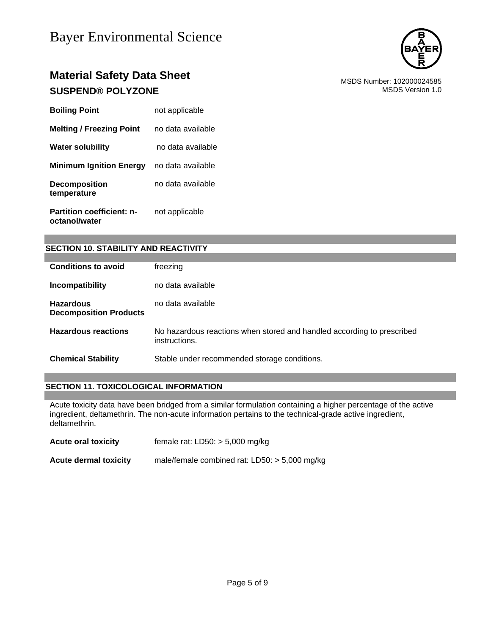

### **Material Safety Data Sheet** Material Safety Data Sheet<br>
SUSPEND® POLYZONE MSDS Number: 102000024585 **SUSPEND® POLYZONE**

| <b>Boiling Point</b>                              | not applicable    |
|---------------------------------------------------|-------------------|
| <b>Melting / Freezing Point</b>                   | no data available |
| <b>Water solubility</b>                           | no data available |
| <b>Minimum Ignition Energy</b>                    | no data available |
| <b>Decomposition</b><br>temperature               | no data available |
| <b>Partition coefficient: n-</b><br>octanol/water | not applicable    |

#### **SECTION 10. STABILITY AND REACTIVITY**

| <b>Conditions to avoid</b>                        | freezing                                                                                |
|---------------------------------------------------|-----------------------------------------------------------------------------------------|
| Incompatibility                                   | no data available                                                                       |
| <b>Hazardous</b><br><b>Decomposition Products</b> | no data available                                                                       |
| <b>Hazardous reactions</b>                        | No hazardous reactions when stored and handled according to prescribed<br>instructions. |
| <b>Chemical Stability</b>                         | Stable under recommended storage conditions.                                            |

#### **SECTION 11. TOXICOLOGICAL INFORMATION**

Acute toxicity data have been bridged from a similar formulation containing a higher percentage of the active ingredient, deltamethrin. The non-acute information pertains to the technical-grade active ingredient, deltamethrin.

| <b>Acute oral toxicity</b>   | female rat: $LD50: > 5,000$ mg/kg               |
|------------------------------|-------------------------------------------------|
| <b>Acute dermal toxicity</b> | male/female combined rat: $LD50: > 5,000$ mg/kg |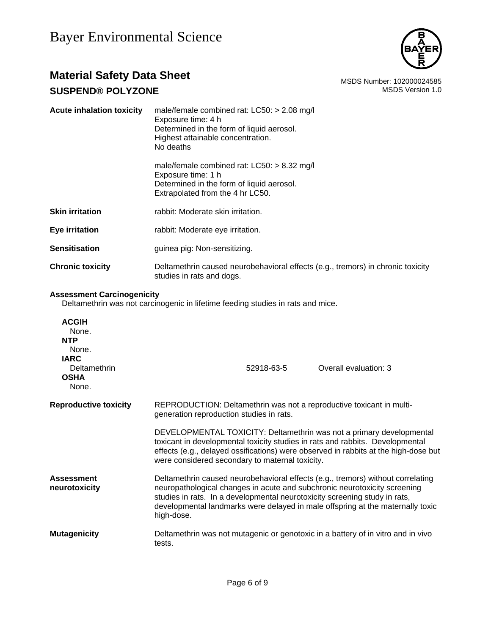

### **Material Safety Data Sheet** Material Safety Data Sheet<br>
SUSPEND® POLYZONE **SUSPEND® POLYZONE**

| <b>Acute inhalation toxicity</b> | male/female combined rat: $LCS0: > 2.08$ mg/l<br>Exposure time: 4 h<br>Determined in the form of liquid aerosol.<br>Highest attainable concentration.<br>No deaths |  |
|----------------------------------|--------------------------------------------------------------------------------------------------------------------------------------------------------------------|--|
|                                  | male/female combined rat: $LCS0: > 8.32$ mg/l<br>Exposure time: 1 h<br>Determined in the form of liquid aerosol.<br>Extrapolated from the 4 hr LC50.               |  |
| <b>Skin irritation</b>           | rabbit: Moderate skin irritation.                                                                                                                                  |  |
| Eye irritation                   | rabbit: Moderate eye irritation.                                                                                                                                   |  |
| <b>Sensitisation</b>             | guinea pig: Non-sensitizing.                                                                                                                                       |  |
| <b>Chronic toxicity</b>          | Deltamethrin caused neurobehavioral effects (e.g., tremors) in chronic toxicity<br>studies in rats and dogs.                                                       |  |
|                                  |                                                                                                                                                                    |  |

#### **Assessment Carcinogenicity**

Deltamethrin was not carcinogenic in lifetime feeding studies in rats and mice.

| <b>ACGIH</b><br>None.<br><b>NTP</b><br>None.<br><b>IARC</b><br>Deltamethrin<br><b>OSHA</b><br>None. | Overall evaluation: 3<br>52918-63-5                                                                                                                                                                                                                                                                                                        |  |  |
|-----------------------------------------------------------------------------------------------------|--------------------------------------------------------------------------------------------------------------------------------------------------------------------------------------------------------------------------------------------------------------------------------------------------------------------------------------------|--|--|
| <b>Reproductive toxicity</b>                                                                        | REPRODUCTION: Deltamethrin was not a reproductive toxicant in multi-<br>generation reproduction studies in rats.                                                                                                                                                                                                                           |  |  |
|                                                                                                     | DEVELOPMENTAL TOXICITY: Deltamethrin was not a primary developmental<br>toxicant in developmental toxicity studies in rats and rabbits. Developmental<br>effects (e.g., delayed ossifications) were observed in rabbits at the high-dose but<br>were considered secondary to maternal toxicity.                                            |  |  |
| <b>Assessment</b><br>neurotoxicity                                                                  | Deltamethrin caused neurobehavioral effects (e.g., tremors) without correlating<br>neuropathological changes in acute and subchronic neurotoxicity screening<br>studies in rats. In a developmental neurotoxicity screening study in rats,<br>developmental landmarks were delayed in male offspring at the maternally toxic<br>high-dose. |  |  |
| <b>Mutagenicity</b>                                                                                 | Deltamethrin was not mutagenic or genotoxic in a battery of in vitro and in vivo<br>tests.                                                                                                                                                                                                                                                 |  |  |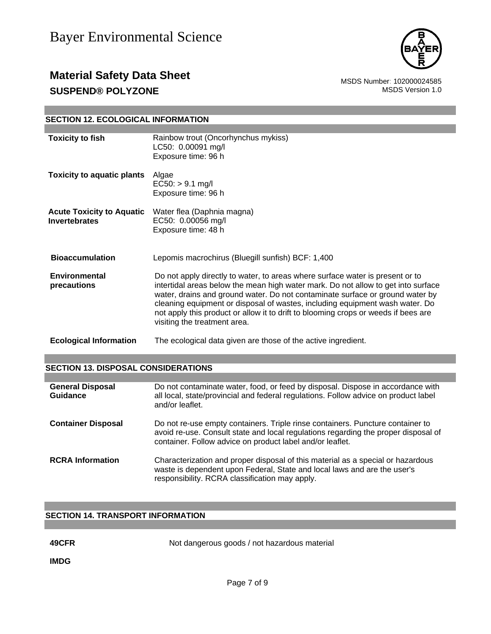

### **Material Safety Data Sheet** Material Safety Data Sheet<br>
SUSPEND® POLYZONE MSDS Number: 102000024585 **SUSPEND® POLYZONE**

#### **SECTION 12. ECOLOGICAL INFORMATION**

| <b>Toxicity to fish</b>                                  | Rainbow trout (Oncorhynchus mykiss)<br>LC50: 0.00091 mg/l<br>Exposure time: 96 h                                                                                                                                                                                                                                                                                                                                                                          |
|----------------------------------------------------------|-----------------------------------------------------------------------------------------------------------------------------------------------------------------------------------------------------------------------------------------------------------------------------------------------------------------------------------------------------------------------------------------------------------------------------------------------------------|
| <b>Toxicity to aquatic plants</b>                        | Algae<br>$EC50:$ > 9.1 mg/l<br>Exposure time: 96 h                                                                                                                                                                                                                                                                                                                                                                                                        |
| <b>Acute Toxicity to Aquatic</b><br><b>Invertebrates</b> | Water flea (Daphnia magna)<br>EC50: 0.00056 mg/l<br>Exposure time: 48 h                                                                                                                                                                                                                                                                                                                                                                                   |
| <b>Bioaccumulation</b>                                   | Lepomis macrochirus (Bluegill sunfish) BCF: 1,400                                                                                                                                                                                                                                                                                                                                                                                                         |
| <b>Environmental</b><br>precautions                      | Do not apply directly to water, to areas where surface water is present or to<br>intertidal areas below the mean high water mark. Do not allow to get into surface<br>water, drains and ground water. Do not contaminate surface or ground water by<br>cleaning equipment or disposal of wastes, including equipment wash water. Do<br>not apply this product or allow it to drift to blooming crops or weeds if bees are<br>visiting the treatment area. |
| <b>Ecological Information</b>                            | The ecological data given are those of the active ingredient.                                                                                                                                                                                                                                                                                                                                                                                             |

#### **SECTION 13. DISPOSAL CONSIDERATIONS**

| <b>General Disposal</b><br>Guidance | Do not contaminate water, food, or feed by disposal. Dispose in accordance with<br>all local, state/provincial and federal regulations. Follow advice on product label<br>and/or leaflet.                                         |
|-------------------------------------|-----------------------------------------------------------------------------------------------------------------------------------------------------------------------------------------------------------------------------------|
| <b>Container Disposal</b>           | Do not re-use empty containers. Triple rinse containers. Puncture container to<br>avoid re-use. Consult state and local regulations regarding the proper disposal of<br>container. Follow advice on product label and/or leaflet. |
| <b>RCRA</b> Information             | Characterization and proper disposal of this material as a special or hazardous<br>waste is dependent upon Federal, State and local laws and are the user's<br>responsibility. RCRA classification may apply.                     |

### **SECTION 14. TRANSPORT INFORMATION**

**49CFR** Not dangerous goods / not hazardous material

**IMDG**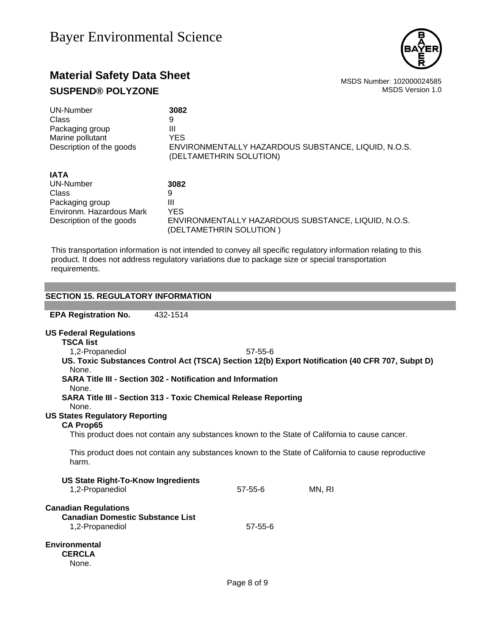

## **Material Safety Data Sheet** Material Safety Data Sheet<br>
SUSPEND® POLYZONE **SUSPEND® POLYZONE**

| 3082                                                                           |
|--------------------------------------------------------------------------------|
| 9                                                                              |
| Ш                                                                              |
| <b>YES</b>                                                                     |
| ENVIRONMENTALLY HAZARDOUS SUBSTANCE, LIQUID, N.O.S.<br>(DELTAMETHRIN SOLUTION) |
|                                                                                |
| 3082                                                                           |
| 9                                                                              |
| Ш                                                                              |
| <b>YES</b>                                                                     |
| ENVIRONMENTALLY HAZARDOUS SUBSTANCE, LIQUID, N.O.S.<br>(DELTAMETHRIN SOLUTION) |
|                                                                                |

This transportation information is not intended to convey all specific regulatory information relating to this product. It does not address regulatory variations due to package size or special transportation requirements.

| <b>SECTION 15. REGULATORY INFORMATION</b>                                                                    |               |        |  |  |  |
|--------------------------------------------------------------------------------------------------------------|---------------|--------|--|--|--|
|                                                                                                              |               |        |  |  |  |
| <b>EPA Registration No.</b><br>432-1514                                                                      |               |        |  |  |  |
|                                                                                                              |               |        |  |  |  |
| <b>US Federal Regulations</b><br><b>TSCA list</b>                                                            |               |        |  |  |  |
| 1,2-Propanediol                                                                                              | $57 - 55 - 6$ |        |  |  |  |
| US. Toxic Substances Control Act (TSCA) Section 12(b) Export Notification (40 CFR 707, Subpt D)<br>None.     |               |        |  |  |  |
| SARA Title III - Section 302 - Notification and Information<br>None.                                         |               |        |  |  |  |
| <b>SARA Title III - Section 313 - Toxic Chemical Release Reporting</b><br>None.                              |               |        |  |  |  |
| <b>US States Regulatory Reporting</b>                                                                        |               |        |  |  |  |
| <b>CA Prop65</b>                                                                                             |               |        |  |  |  |
| This product does not contain any substances known to the State of California to cause cancer.               |               |        |  |  |  |
| This product does not contain any substances known to the State of California to cause reproductive<br>harm. |               |        |  |  |  |
|                                                                                                              |               |        |  |  |  |
| <b>US State Right-To-Know Ingredients</b><br>1,2-Propanediol                                                 | $57 - 55 - 6$ | MN, RI |  |  |  |
| <b>Canadian Regulations</b><br><b>Canadian Domestic Substance List</b>                                       |               |        |  |  |  |
| 1,2-Propanediol                                                                                              | 57-55-6       |        |  |  |  |
| <b>Environmental</b><br><b>CERCLA</b><br>None.                                                               |               |        |  |  |  |